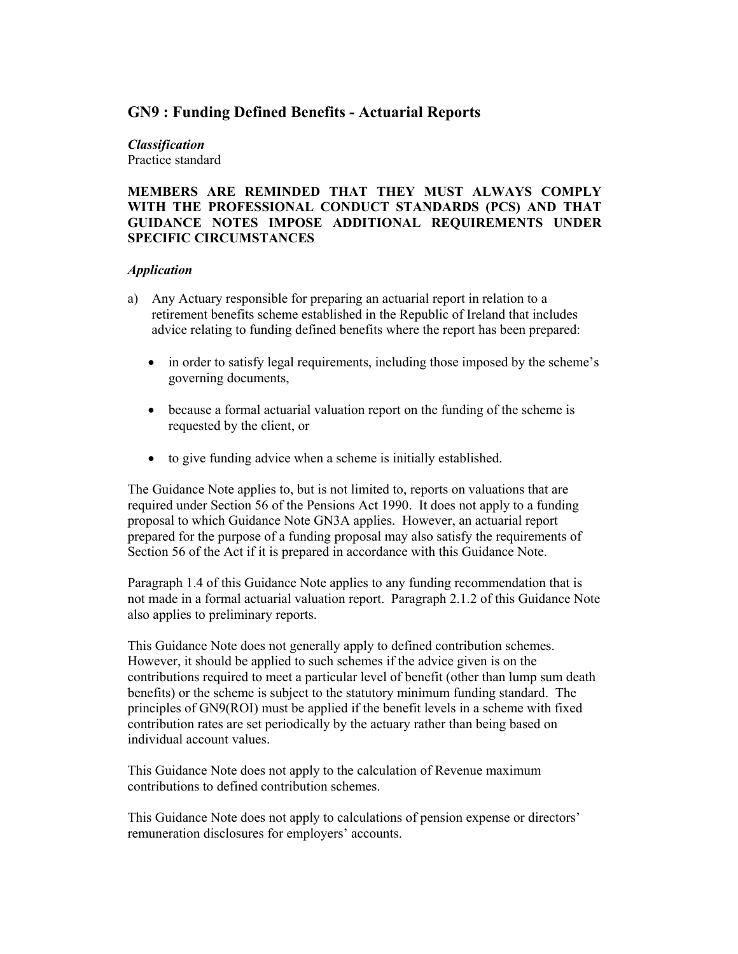# **GN9 : Funding Defined Benefits - Actuarial Reports**

# *Classification*

Practice standard

#### **MEMBERS ARE REMINDED THAT THEY MUST ALWAYS COMPLY WITH THE PROFESSIONAL CONDUCT STANDARDS (PCS) AND THAT GUIDANCE NOTES IMPOSE ADDITIONAL REQUIREMENTS UNDER SPECIFIC CIRCUMSTANCES**

#### *Application*

- a) Any Actuary responsible for preparing an actuarial report in relation to a retirement benefits scheme established in the Republic of Ireland that includes advice relating to funding defined benefits where the report has been prepared:
	- in order to satisfy legal requirements, including those imposed by the scheme's governing documents,
	- because a formal actuarial valuation report on the funding of the scheme is requested by the client, or
	- to give funding advice when a scheme is initially established.

The Guidance Note applies to, but is not limited to, reports on valuations that are required under Section 56 of the Pensions Act 1990. It does not apply to a funding proposal to which Guidance Note GN3A applies. However, an actuarial report prepared for the purpose of a funding proposal may also satisfy the requirements of Section 56 of the Act if it is prepared in accordance with this Guidance Note.

Paragraph 1.4 of this Guidance Note applies to any funding recommendation that is not made in a formal actuarial valuation report. Paragraph 2.1.2 of this Guidance Note also applies to preliminary reports.

This Guidance Note does not generally apply to defined contribution schemes. However, it should be applied to such schemes if the advice given is on the contributions required to meet a particular level of benefit (other than lump sum death benefits) or the scheme is subject to the statutory minimum funding standard. The principles of GN9(ROI) must be applied if the benefit levels in a scheme with fixed contribution rates are set periodically by the actuary rather than being based on individual account values.

This Guidance Note does not apply to the calculation of Revenue maximum contributions to defined contribution schemes.

This Guidance Note does not apply to calculations of pension expense or directors' remuneration disclosures for employers' accounts.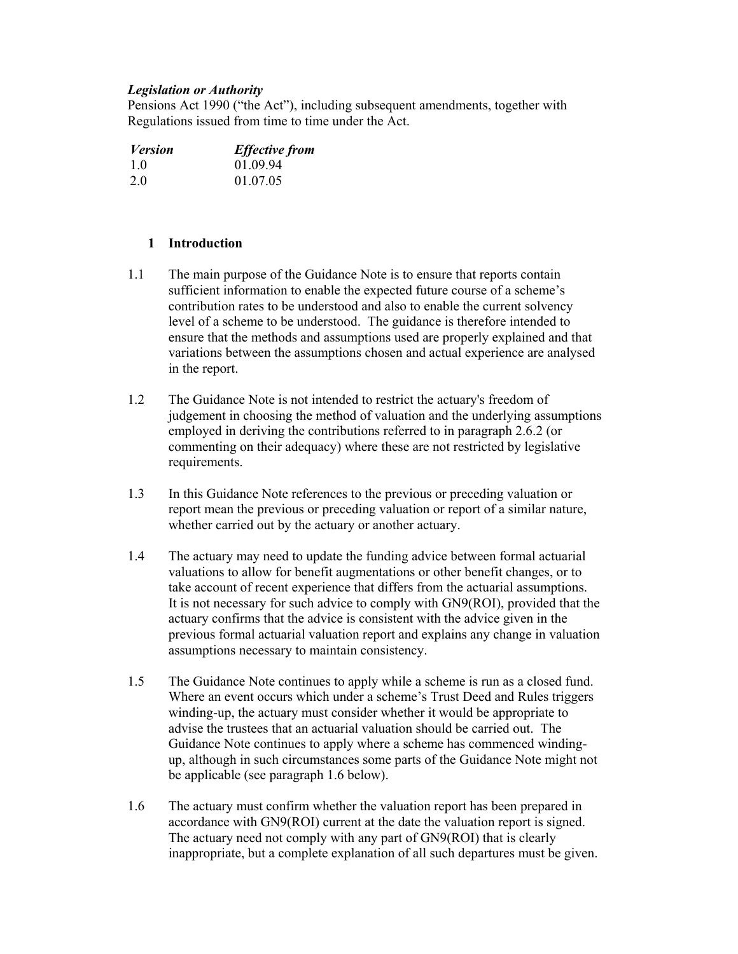#### *Legislation or Authority*

Pensions Act 1990 ("the Act"), including subsequent amendments, together with Regulations issued from time to time under the Act.

| <b>Version</b> | <b>Effective from</b> |
|----------------|-----------------------|
| 10             | 01.09.94              |
| 2.0            | 01.07.05              |

### **1 Introduction**

- 1.1 The main purpose of the Guidance Note is to ensure that reports contain sufficient information to enable the expected future course of a scheme's contribution rates to be understood and also to enable the current solvency level of a scheme to be understood. The guidance is therefore intended to ensure that the methods and assumptions used are properly explained and that variations between the assumptions chosen and actual experience are analysed in the report.
- 1.2 The Guidance Note is not intended to restrict the actuary's freedom of judgement in choosing the method of valuation and the underlying assumptions employed in deriving the contributions referred to in paragraph 2.6.2 (or commenting on their adequacy) where these are not restricted by legislative requirements.
- 1.3 In this Guidance Note references to the previous or preceding valuation or report mean the previous or preceding valuation or report of a similar nature, whether carried out by the actuary or another actuary.
- 1.4 The actuary may need to update the funding advice between formal actuarial valuations to allow for benefit augmentations or other benefit changes, or to take account of recent experience that differs from the actuarial assumptions. It is not necessary for such advice to comply with GN9(ROI), provided that the actuary confirms that the advice is consistent with the advice given in the previous formal actuarial valuation report and explains any change in valuation assumptions necessary to maintain consistency.
- 1.5 The Guidance Note continues to apply while a scheme is run as a closed fund. Where an event occurs which under a scheme's Trust Deed and Rules triggers winding-up, the actuary must consider whether it would be appropriate to advise the trustees that an actuarial valuation should be carried out. The Guidance Note continues to apply where a scheme has commenced windingup, although in such circumstances some parts of the Guidance Note might not be applicable (see paragraph 1.6 below).
- 1.6 The actuary must confirm whether the valuation report has been prepared in accordance with GN9(ROI) current at the date the valuation report is signed. The actuary need not comply with any part of GN9(ROI) that is clearly inappropriate, but a complete explanation of all such departures must be given.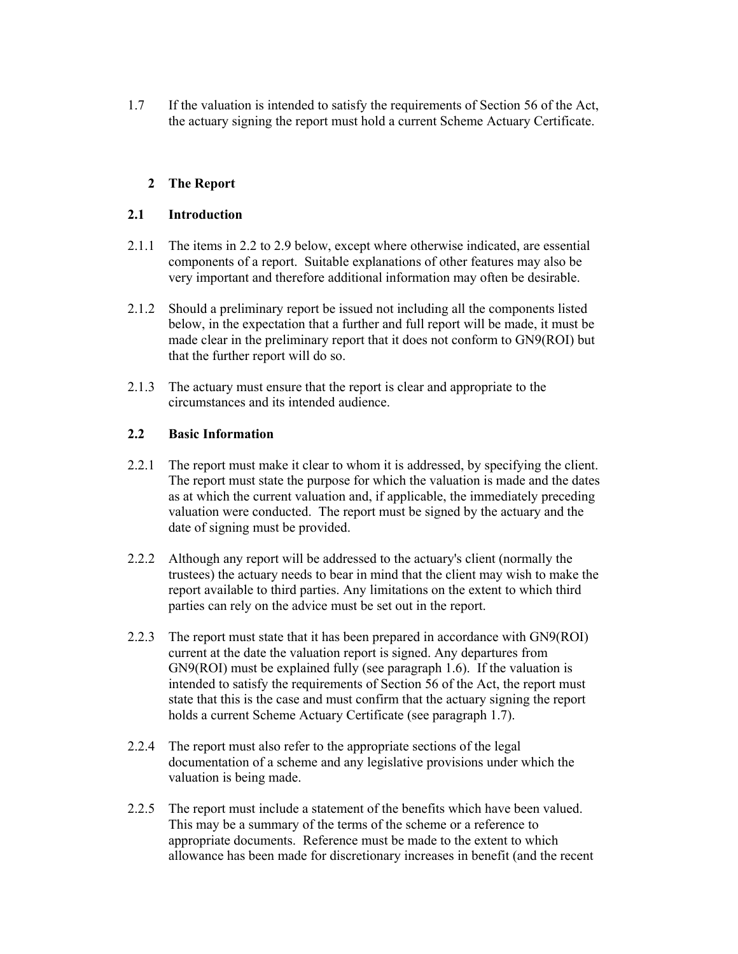1.7 If the valuation is intended to satisfy the requirements of Section 56 of the Act, the actuary signing the report must hold a current Scheme Actuary Certificate.

# **2 The Report**

## **2.1 Introduction**

- 2.1.1 The items in 2.2 to 2.9 below, except where otherwise indicated, are essential components of a report. Suitable explanations of other features may also be very important and therefore additional information may often be desirable.
- 2.1.2 Should a preliminary report be issued not including all the components listed below, in the expectation that a further and full report will be made, it must be made clear in the preliminary report that it does not conform to GN9(ROI) but that the further report will do so.
- 2.1.3 The actuary must ensure that the report is clear and appropriate to the circumstances and its intended audience.

#### **2.2 Basic Information**

- 2.2.1 The report must make it clear to whom it is addressed, by specifying the client. The report must state the purpose for which the valuation is made and the dates as at which the current valuation and, if applicable, the immediately preceding valuation were conducted. The report must be signed by the actuary and the date of signing must be provided.
- 2.2.2 Although any report will be addressed to the actuary's client (normally the trustees) the actuary needs to bear in mind that the client may wish to make the report available to third parties. Any limitations on the extent to which third parties can rely on the advice must be set out in the report.
- 2.2.3 The report must state that it has been prepared in accordance with GN9(ROI) current at the date the valuation report is signed. Any departures from GN9(ROI) must be explained fully (see paragraph 1.6). If the valuation is intended to satisfy the requirements of Section 56 of the Act, the report must state that this is the case and must confirm that the actuary signing the report holds a current Scheme Actuary Certificate (see paragraph 1.7).
- 2.2.4 The report must also refer to the appropriate sections of the legal documentation of a scheme and any legislative provisions under which the valuation is being made.
- 2.2.5 The report must include a statement of the benefits which have been valued. This may be a summary of the terms of the scheme or a reference to appropriate documents. Reference must be made to the extent to which allowance has been made for discretionary increases in benefit (and the recent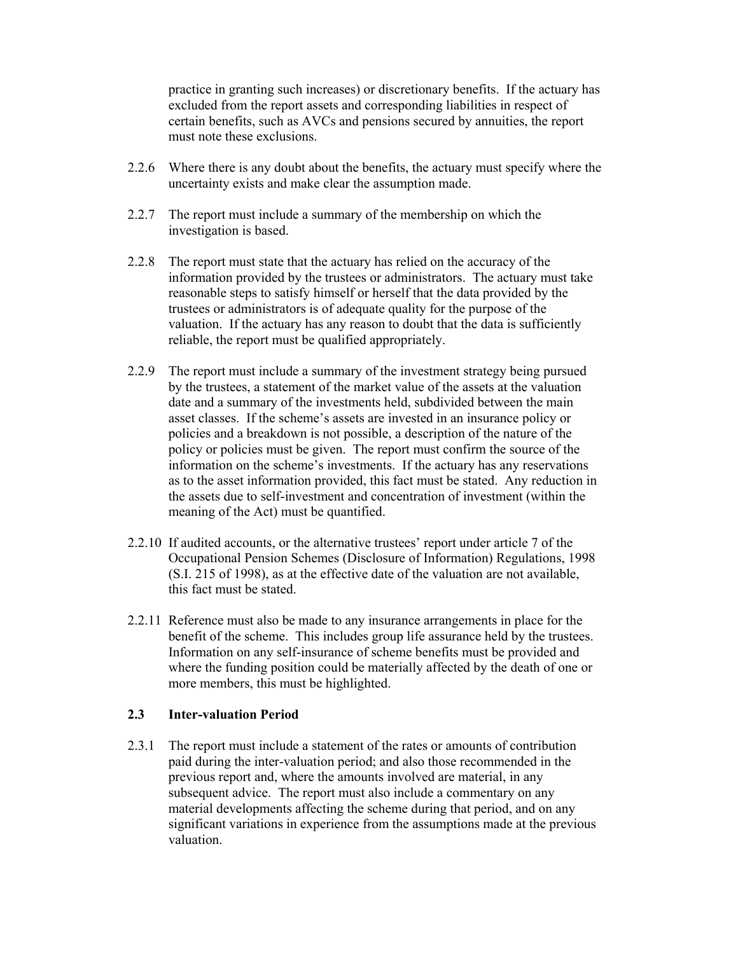practice in granting such increases) or discretionary benefits. If the actuary has excluded from the report assets and corresponding liabilities in respect of certain benefits, such as AVCs and pensions secured by annuities, the report must note these exclusions.

- 2.2.6 Where there is any doubt about the benefits, the actuary must specify where the uncertainty exists and make clear the assumption made.
- 2.2.7 The report must include a summary of the membership on which the investigation is based.
- 2.2.8 The report must state that the actuary has relied on the accuracy of the information provided by the trustees or administrators. The actuary must take reasonable steps to satisfy himself or herself that the data provided by the trustees or administrators is of adequate quality for the purpose of the valuation. If the actuary has any reason to doubt that the data is sufficiently reliable, the report must be qualified appropriately.
- 2.2.9 The report must include a summary of the investment strategy being pursued by the trustees, a statement of the market value of the assets at the valuation date and a summary of the investments held, subdivided between the main asset classes. If the scheme's assets are invested in an insurance policy or policies and a breakdown is not possible, a description of the nature of the policy or policies must be given. The report must confirm the source of the information on the scheme's investments. If the actuary has any reservations as to the asset information provided, this fact must be stated. Any reduction in the assets due to self-investment and concentration of investment (within the meaning of the Act) must be quantified.
- 2.2.10 If audited accounts, or the alternative trustees' report under article 7 of the Occupational Pension Schemes (Disclosure of Information) Regulations, 1998 (S.I. 215 of 1998), as at the effective date of the valuation are not available, this fact must be stated.
- 2.2.11 Reference must also be made to any insurance arrangements in place for the benefit of the scheme. This includes group life assurance held by the trustees. Information on any self-insurance of scheme benefits must be provided and where the funding position could be materially affected by the death of one or more members, this must be highlighted.

#### **2.3 Inter-valuation Period**

2.3.1 The report must include a statement of the rates or amounts of contribution paid during the inter-valuation period; and also those recommended in the previous report and, where the amounts involved are material, in any subsequent advice. The report must also include a commentary on any material developments affecting the scheme during that period, and on any significant variations in experience from the assumptions made at the previous valuation.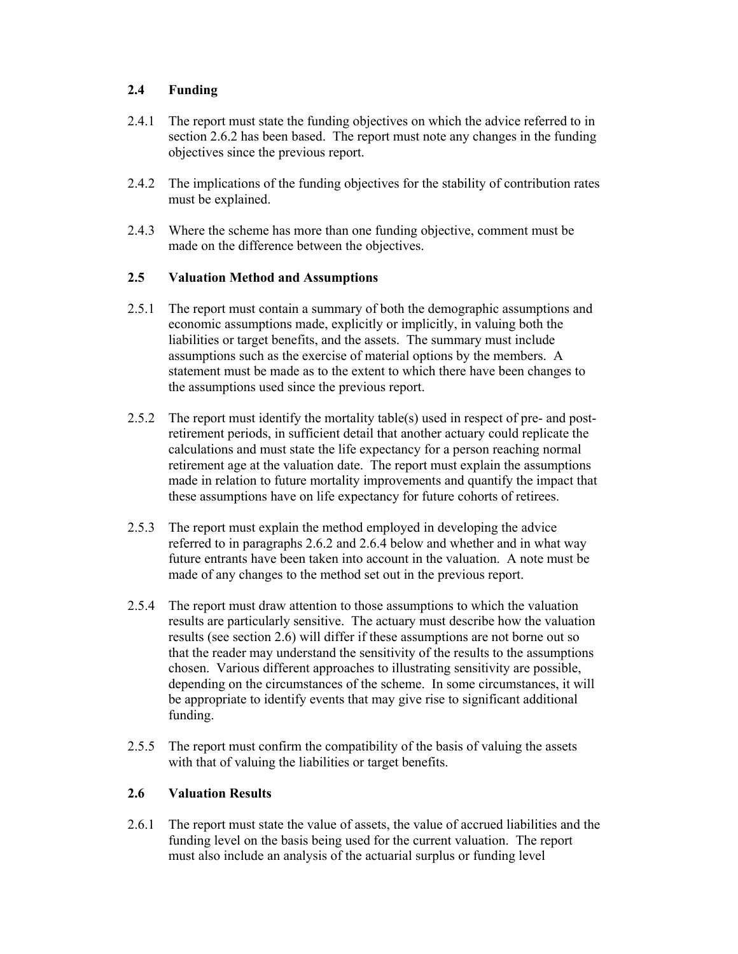# **2.4 Funding**

- 2.4.1 The report must state the funding objectives on which the advice referred to in section 2.6.2 has been based. The report must note any changes in the funding objectives since the previous report.
- 2.4.2 The implications of the funding objectives for the stability of contribution rates must be explained.
- 2.4.3 Where the scheme has more than one funding objective, comment must be made on the difference between the objectives.

#### **2.5 Valuation Method and Assumptions**

- 2.5.1 The report must contain a summary of both the demographic assumptions and economic assumptions made, explicitly or implicitly, in valuing both the liabilities or target benefits, and the assets. The summary must include assumptions such as the exercise of material options by the members. A statement must be made as to the extent to which there have been changes to the assumptions used since the previous report.
- 2.5.2 The report must identify the mortality table(s) used in respect of pre- and postretirement periods, in sufficient detail that another actuary could replicate the calculations and must state the life expectancy for a person reaching normal retirement age at the valuation date. The report must explain the assumptions made in relation to future mortality improvements and quantify the impact that these assumptions have on life expectancy for future cohorts of retirees.
- 2.5.3 The report must explain the method employed in developing the advice referred to in paragraphs 2.6.2 and 2.6.4 below and whether and in what way future entrants have been taken into account in the valuation. A note must be made of any changes to the method set out in the previous report.
- 2.5.4 The report must draw attention to those assumptions to which the valuation results are particularly sensitive. The actuary must describe how the valuation results (see section 2.6) will differ if these assumptions are not borne out so that the reader may understand the sensitivity of the results to the assumptions chosen. Various different approaches to illustrating sensitivity are possible, depending on the circumstances of the scheme. In some circumstances, it will be appropriate to identify events that may give rise to significant additional funding.
- 2.5.5 The report must confirm the compatibility of the basis of valuing the assets with that of valuing the liabilities or target benefits.

# **2.6 Valuation Results**

2.6.1 The report must state the value of assets, the value of accrued liabilities and the funding level on the basis being used for the current valuation. The report must also include an analysis of the actuarial surplus or funding level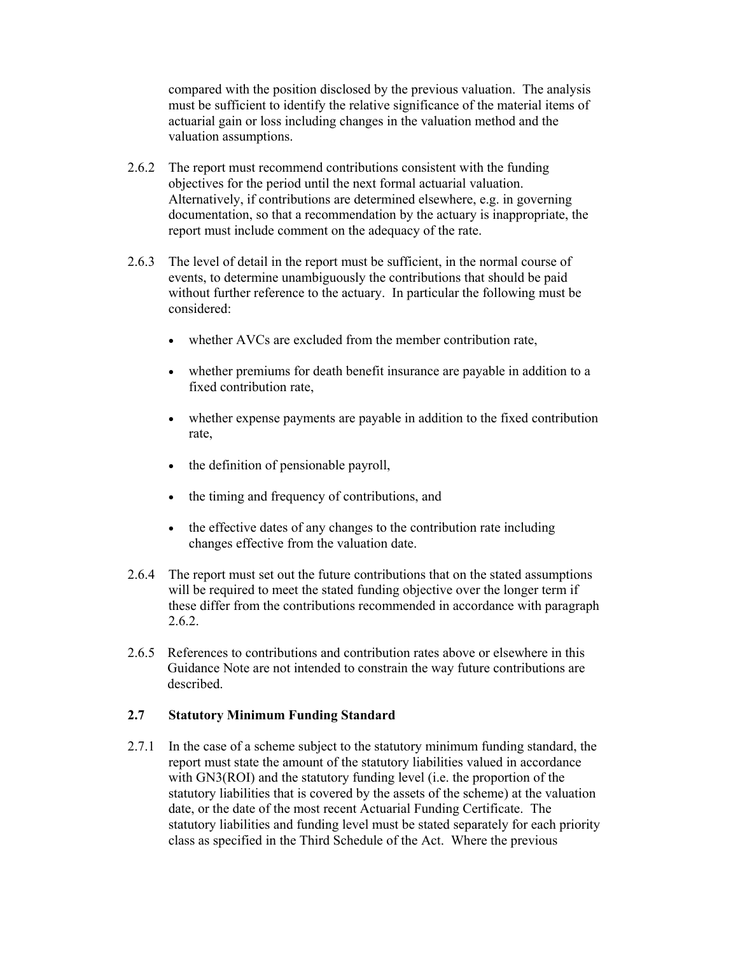compared with the position disclosed by the previous valuation. The analysis must be sufficient to identify the relative significance of the material items of actuarial gain or loss including changes in the valuation method and the valuation assumptions.

- 2.6.2 The report must recommend contributions consistent with the funding objectives for the period until the next formal actuarial valuation. Alternatively, if contributions are determined elsewhere, e.g. in governing documentation, so that a recommendation by the actuary is inappropriate, the report must include comment on the adequacy of the rate.
- 2.6.3 The level of detail in the report must be sufficient, in the normal course of events, to determine unambiguously the contributions that should be paid without further reference to the actuary. In particular the following must be considered:
	- whether AVCs are excluded from the member contribution rate.
	- whether premiums for death benefit insurance are payable in addition to a fixed contribution rate,
	- whether expense payments are payable in addition to the fixed contribution rate,
	- the definition of pensionable payroll,
	- the timing and frequency of contributions, and
	- the effective dates of any changes to the contribution rate including changes effective from the valuation date.
- 2.6.4 The report must set out the future contributions that on the stated assumptions will be required to meet the stated funding objective over the longer term if these differ from the contributions recommended in accordance with paragraph 2.6.2.
- 2.6.5 References to contributions and contribution rates above or elsewhere in this Guidance Note are not intended to constrain the way future contributions are described.

#### **2.7 Statutory Minimum Funding Standard**

2.7.1 In the case of a scheme subject to the statutory minimum funding standard, the report must state the amount of the statutory liabilities valued in accordance with GN3(ROI) and the statutory funding level (i.e. the proportion of the statutory liabilities that is covered by the assets of the scheme) at the valuation date, or the date of the most recent Actuarial Funding Certificate. The statutory liabilities and funding level must be stated separately for each priority class as specified in the Third Schedule of the Act. Where the previous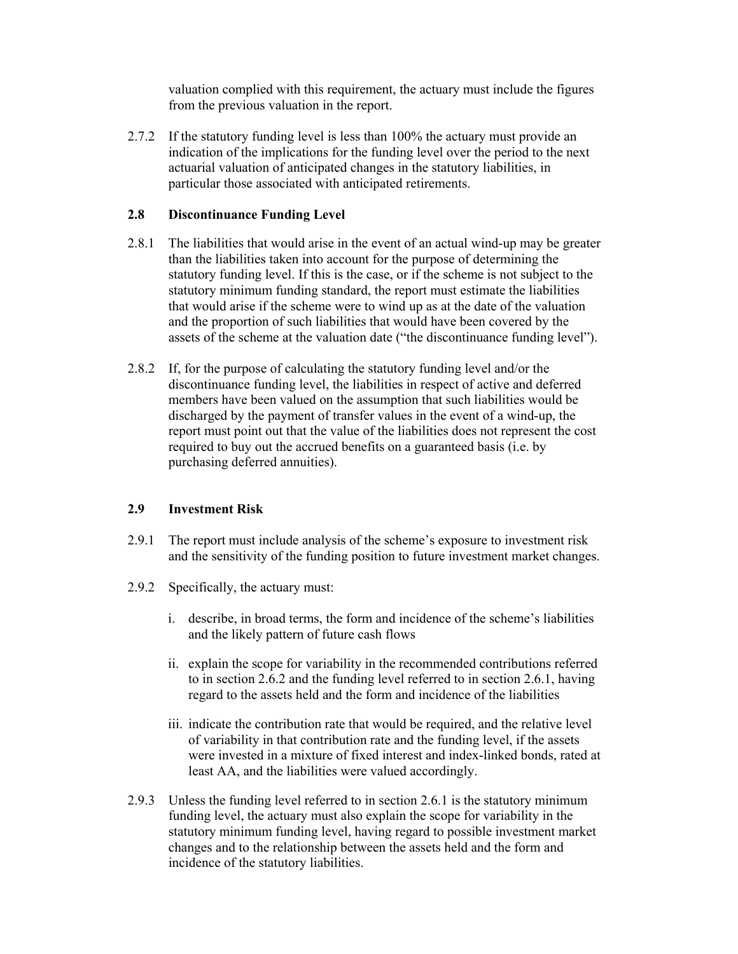valuation complied with this requirement, the actuary must include the figures from the previous valuation in the report.

2.7.2 If the statutory funding level is less than 100% the actuary must provide an indication of the implications for the funding level over the period to the next actuarial valuation of anticipated changes in the statutory liabilities, in particular those associated with anticipated retirements.

# **2.8 Discontinuance Funding Level**

- 2.8.1 The liabilities that would arise in the event of an actual wind-up may be greater than the liabilities taken into account for the purpose of determining the statutory funding level. If this is the case, or if the scheme is not subject to the statutory minimum funding standard, the report must estimate the liabilities that would arise if the scheme were to wind up as at the date of the valuation and the proportion of such liabilities that would have been covered by the assets of the scheme at the valuation date ("the discontinuance funding level").
- 2.8.2 If, for the purpose of calculating the statutory funding level and/or the discontinuance funding level, the liabilities in respect of active and deferred members have been valued on the assumption that such liabilities would be discharged by the payment of transfer values in the event of a wind-up, the report must point out that the value of the liabilities does not represent the cost required to buy out the accrued benefits on a guaranteed basis (i.e. by purchasing deferred annuities).

# **2.9 Investment Risk**

- 2.9.1 The report must include analysis of the scheme's exposure to investment risk and the sensitivity of the funding position to future investment market changes.
- 2.9.2 Specifically, the actuary must:
	- i. describe, in broad terms, the form and incidence of the scheme's liabilities and the likely pattern of future cash flows
	- ii. explain the scope for variability in the recommended contributions referred to in section 2.6.2 and the funding level referred to in section 2.6.1, having regard to the assets held and the form and incidence of the liabilities
	- iii. indicate the contribution rate that would be required, and the relative level of variability in that contribution rate and the funding level, if the assets were invested in a mixture of fixed interest and index-linked bonds, rated at least AA, and the liabilities were valued accordingly.
- 2.9.3 Unless the funding level referred to in section 2.6.1 is the statutory minimum funding level, the actuary must also explain the scope for variability in the statutory minimum funding level, having regard to possible investment market changes and to the relationship between the assets held and the form and incidence of the statutory liabilities.